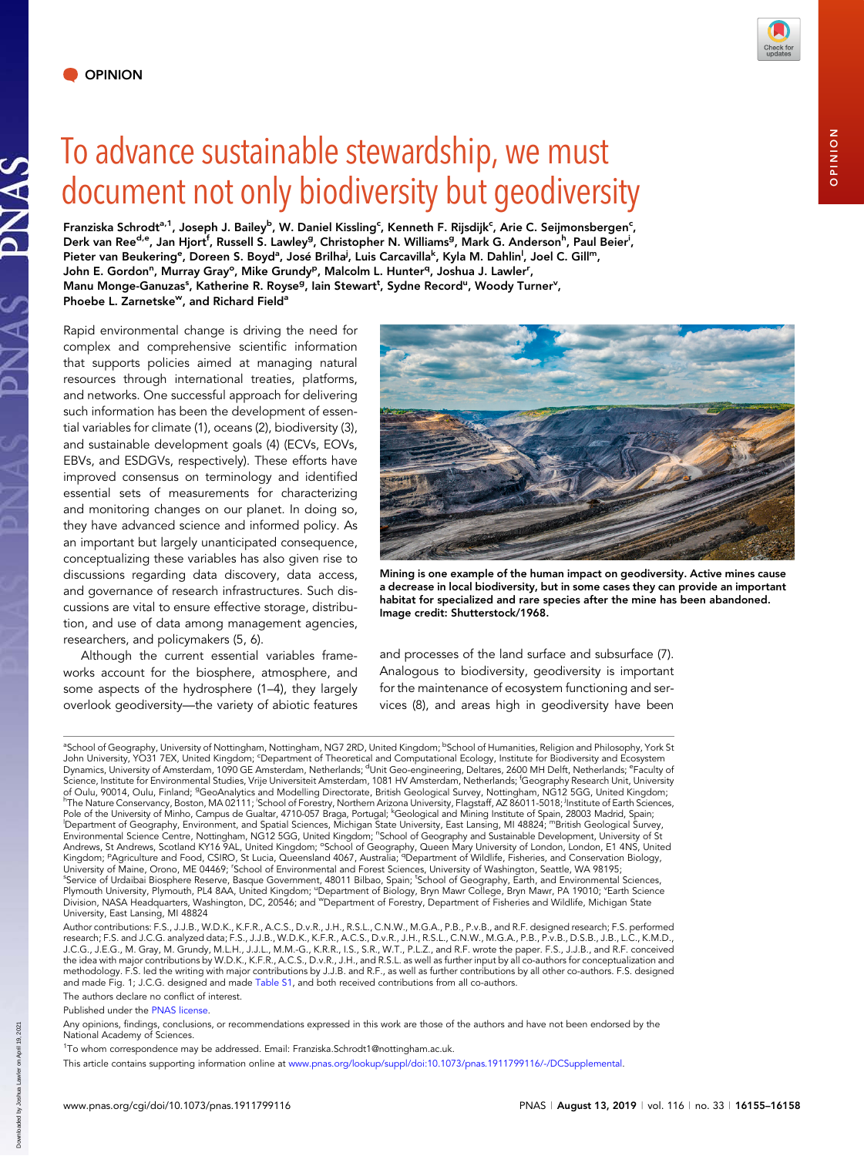PNAS

# To advance sustainable stewardship, we must document not only biodiversity but geodiversity

Franziska Schrodt<sup>a,1</sup>, Joseph J. Bailey<sup>b</sup>, W. Daniel Kissling<sup>c</sup>, Kenneth F. Rijsdijk<sup>c</sup>, Arie C. Seijmonsbergen<sup>c</sup>, Derk van Ree<sup>d,e</sup>, Jan Hjort<sup>f</sup>, Russell S. Lawley<sup>g</sup>, Christopher N. Williams<sup>g</sup>, Mark G. Anderson<sup>h</sup>, Paul Beier<sup>i</sup>, Pieter van Beukering<sup>e</sup>, Doreen S. Boyd<sup>a</sup>, José Brilha<sup>j</sup>, Luis Carcavilla<sup>k</sup>, Kyla M. Dahlin<sup>l</sup>, Joel C. Gill<sup>m</sup>, John E. Gordon<sup>n</sup>, Murray Gray°, Mike Grundy<sup>p</sup>, Malcolm L. Hunter<sup>q</sup>, Joshua J. Lawler<sup>r</sup>, Manu Monge-Ganuzas<sup>s</sup>, Katherine R. Royse<sup>g</sup>, Iain Stewart<sup>t</sup>, Sydne Record<sup>u</sup>, Woody Turner<sup>v</sup>, Phoebe L. Zarnetske<sup>w</sup>, and Richard Field<sup>a</sup>

Rapid environmental change is driving the need for complex and comprehensive scientific information that supports policies aimed at managing natural resources through international treaties, platforms, and networks. One successful approach for delivering such information has been the development of essential variables for climate (1), oceans (2), biodiversity (3), and sustainable development goals (4) (ECVs, EOVs, EBVs, and ESDGVs, respectively). These efforts have improved consensus on terminology and identified essential sets of measurements for characterizing and monitoring changes on our planet. In doing so, they have advanced science and informed policy. As an important but largely unanticipated consequence, conceptualizing these variables has also given rise to discussions regarding data discovery, data access, and governance of research infrastructures. Such discussions are vital to ensure effective storage, distribution, and use of data among management agencies, researchers, and policymakers (5, 6).

Although the current essential variables frameworks account for the biosphere, atmosphere, and some aspects of the hydrosphere (1–4), they largely overlook geodiversity—the variety of abiotic features



Mining is one example of the human impact on geodiversity. Active mines cause a decrease in local biodiversity, but in some cases they can provide an important habitat for specialized and rare species after the mine has been abandoned. Image credit: Shutterstock/1968.

and processes of the land surface and subsurface (7). Analogous to biodiversity, geodiversity is important for the maintenance of ecosystem functioning and services (8), and areas high in geodiversity have been

Author contributions: F.S., J.J.B., W.D.K., K.F.R., A.C.S., D.v.R., J.H., R.S.L., C.N.W., M.G.A., P.B., P.v.B., and R.F. designed research; F.S. performed<br>research; F.S. and J.C.G. analyzed data; F.S., J.J.B., W.D.K., K.F. methodology. F.S. led the writing with major contributions by J.J.B. and R.F., as well as further contributions by all other co-authors. F.S. designed and made Fig. 1; J.C.G. designed and made [Table S1](https://www.pnas.org/lookup/suppl/doi:10.1073/pnas.1911799116/-/DCSupplemental), and both received contributions from all co-authors.

The authors declare no conflict of interest.

<sup>&</sup>lt;sup>a</sup>School of Geography, University of Nottingham, Nottingham, NG7 2RD, United Kingdom; <sup>b</sup>School of Humanities, Religion and Philosophy, York St John University, YO31 7EX, United Kingdom; <sup>c</sup>Department of Theoretical and Computational Ecology, Institute for Biodiversity and Ecosystem Dynamics, University of Amsterdam, 1090 GE Amsterdam, Netherlands; <sup>d</sup>Unit Geo-engineering, Deltares, 2600 MH Delft, Netherlands; <sup>e</sup>Faculty of Science, Institute for Environmental Studies, Vrije Universiteit Amsterdam, 1081 HV Amsterdam, Netherlands; <sup>f</sup> Geography Research Unit, University of Oulu, 90014, Oulu, Finland; <sup>9</sup>GeoAnalytics and Modelling Directorate, British Geological Survey, Nottingham, NG12 5GG, United Kingdom;<br><sup>hT</sup>he Nature Conservancy, Boston, MA 02111; 'School of Forestry, Northern Arizona Department of Geography, Environment, and Spatial Sciences, Michigan State University, East Lansing, MI 48824; mBritish Geological Survey, Environmental Science Centre, Nottingham, NG12 5GG, United Kingdom; "School of Geography and Sustainable Development, University of St Andrews, St Andrews, Scotland KY16 9AL, United Kingdom; °School of Geography, Queen Mary University of London, London, E1 4NS, United Kingdom; <sup>p</sup>Agriculture and Food, CSIRO, St Lucia, Queensland 4067, Australia; <sup>q</sup>Department of Wildlife, Fisheries, and Conservation Biology, University of Maine, Orono, ME 04469; 'School of Environmental and Forest Sciences, University of Washington, Seattle, WA 98195;<br>"Songico of Urdaibai Biosphore Besong, Basque Government, 48011 Bilbao, Spain: 'School of Goo °Service of Urdaibai Biosphere Reserve, Basque Government, 48011 Bilbao, Spain; 'School of Geography, Earth, and Environmental Sciences,<br>Plymouth University, Plymouth, PL4 8AA, United Kingdom; "Department of Biology, Bryn Division, NASA Headquarters, Washington, DC, 20546; and wDepartment of Forestry, Department of Fisheries and Wildlife, Michigan State University, East Lansing, MI 48824

Published under the [PNAS license.](https://www.pnas.org/site/aboutpnas/licenses.xhtml)

Any opinions, findings, conclusions, or recommendations expressed in this work are those of the authors and have not been endorsed by the National Academy of Sciences.

<sup>&</sup>lt;sup>1</sup>To whom correspondence may be addressed. Email: [Franziska.Schrodt1@nottingham.ac.uk](mailto:Franziska.Schrodt1@nottingham.ac.uk).

This article contains supporting information online at [www.pnas.org/lookup/suppl/doi:10.1073/pnas.1911799116/-/DCSupplemental](https://www.pnas.org/lookup/suppl/doi:10.1073/pnas.1911799116/-/DCSupplemental).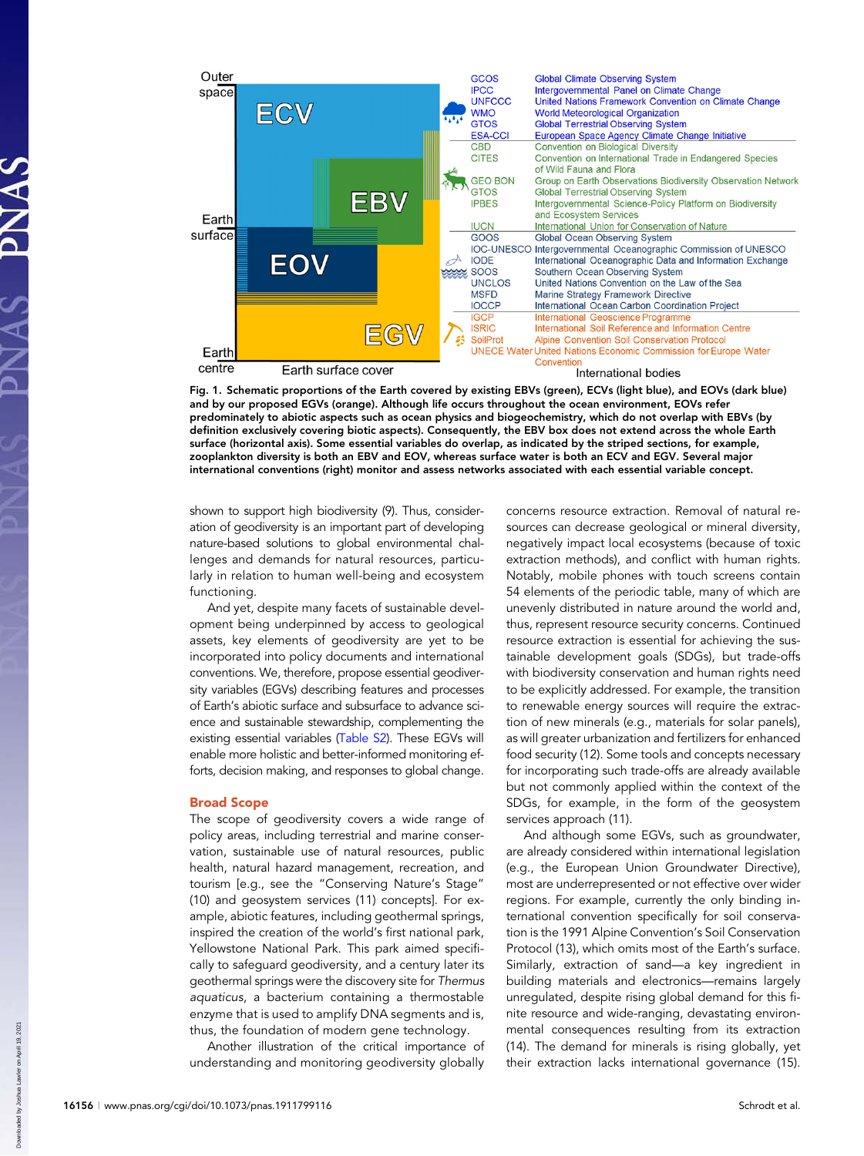

Fig. 1. Schematic proportions of the Earth covered by existing EBVs (green), ECVs (light blue), and EOVs (dark blue) and by our proposed EGVs (orange). Although life occurs throughout the ocean environment, EOVs refer predominately to abiotic aspects such as ocean physics and biogeochemistry, which do not overlap with EBVs (by definition exclusively covering biotic aspects). Consequently, the EBV box does not extend across the whole Earth surface (horizontal axis). Some essential variables do overlap, as indicated by the striped sections, for example, zooplankton diversity is both an EBV and EOV, whereas surface water is both an ECV and EGV. Several major international conventions (right) monitor and assess networks associated with each essential variable concept.

shown to support high biodiversity (9). Thus, consideration of geodiversity is an important part of developing nature-based solutions to global environmental challenges and demands for natural resources, particularly in relation to human well-being and ecosystem functioning.

And yet, despite many facets of sustainable development being underpinned by access to geological assets, key elements of geodiversity are yet to be incorporated into policy documents and international conventions. We, therefore, propose essential geodiversity variables (EGVs) describing features and processes of Earth's abiotic surface and subsurface to advance science and sustainable stewardship, complementing the existing essential variables [\(Table S2\)](https://www.pnas.org/lookup/suppl/doi:10.1073/pnas.1911799116/-/DCSupplemental). These EGVs will enable more holistic and better-informed monitoring efforts, decision making, and responses to global change.

### Broad Scope

The scope of geodiversity covers a wide range of policy areas, including terrestrial and marine conservation, sustainable use of natural resources, public health, natural hazard management, recreation, and tourism [e.g., see the "Conserving Nature's Stage" (10) and geosystem services (11) concepts]. For example, abiotic features, including geothermal springs, inspired the creation of the world's first national park, Yellowstone National Park. This park aimed specifically to safeguard geodiversity, and a century later its geothermal springs were the discovery site for Thermus aquaticus, a bacterium containing a thermostable enzyme that is used to amplify DNA segments and is, thus, the foundation of modern gene technology.

Another illustration of the critical importance of understanding and monitoring geodiversity globally concerns resource extraction. Removal of natural resources can decrease geological or mineral diversity, negatively impact local ecosystems (because of toxic extraction methods), and conflict with human rights. Notably, mobile phones with touch screens contain 54 elements of the periodic table, many of which are unevenly distributed in nature around the world and, thus, represent resource security concerns. Continued resource extraction is essential for achieving the sustainable development goals (SDGs), but trade-offs with biodiversity conservation and human rights need to be explicitly addressed. For example, the transition to renewable energy sources will require the extraction of new minerals (e.g., materials for solar panels), as will greater urbanization and fertilizers for enhanced food security (12). Some tools and concepts necessary for incorporating such trade-offs are already available but not commonly applied within the context of the SDGs, for example, in the form of the geosystem services approach (11).

And although some EGVs, such as groundwater, are already considered within international legislation (e.g., the European Union Groundwater Directive), most are underrepresented or not effective over wider regions. For example, currently the only binding international convention specifically for soil conservation is the 1991 Alpine Convention's Soil Conservation Protocol (13), which omits most of the Earth's surface. Similarly, extraction of sand—a key ingredient in building materials and electronics—remains largely unregulated, despite rising global demand for this finite resource and wide-ranging, devastating environmental consequences resulting from its extraction (14). The demand for minerals is rising globally, yet their extraction lacks international governance (15).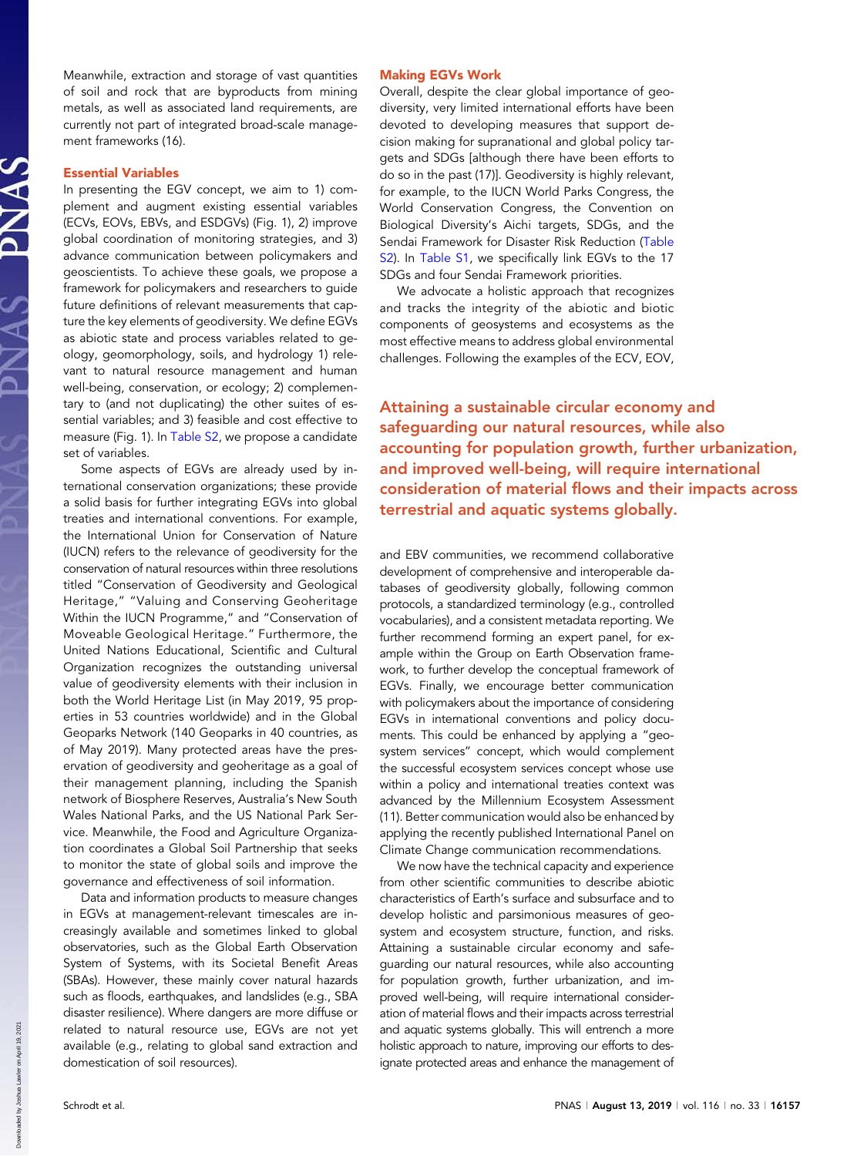Meanwhile, extraction and storage of vast quantities of soil and rock that are byproducts from mining metals, as well as associated land requirements, are currently not part of integrated broad-scale management frameworks (16).

## Essential Variables

In presenting the EGV concept, we aim to 1) complement and augment existing essential variables (ECVs, EOVs, EBVs, and ESDGVs) (Fig. 1), 2) improve global coordination of monitoring strategies, and 3) advance communication between policymakers and geoscientists. To achieve these goals, we propose a framework for policymakers and researchers to guide future definitions of relevant measurements that capture the key elements of geodiversity. We define EGVs as abiotic state and process variables related to geology, geomorphology, soils, and hydrology 1) relevant to natural resource management and human well-being, conservation, or ecology; 2) complementary to (and not duplicating) the other suites of essential variables; and 3) feasible and cost effective to measure (Fig. 1). In [Table S2](https://www.pnas.org/lookup/suppl/doi:10.1073/pnas.1911799116/-/DCSupplemental), we propose a candidate set of variables.

Some aspects of EGVs are already used by international conservation organizations; these provide a solid basis for further integrating EGVs into global treaties and international conventions. For example, the International Union for Conservation of Nature (IUCN) refers to the relevance of geodiversity for the conservation of natural resources within three resolutions titled "Conservation of Geodiversity and Geological Heritage," "Valuing and Conserving Geoheritage Within the IUCN Programme," and "Conservation of Moveable Geological Heritage." Furthermore, the United Nations Educational, Scientific and Cultural Organization recognizes the outstanding universal value of geodiversity elements with their inclusion in both the World Heritage List (in May 2019, 95 properties in 53 countries worldwide) and in the Global Geoparks Network (140 Geoparks in 40 countries, as of May 2019). Many protected areas have the preservation of geodiversity and geoheritage as a goal of their management planning, including the Spanish network of Biosphere Reserves, Australia's New South Wales National Parks, and the US National Park Service. Meanwhile, the Food and Agriculture Organization coordinates a Global Soil Partnership that seeks to monitor the state of global soils and improve the governance and effectiveness of soil information.

Data and information products to measure changes in EGVs at management-relevant timescales are increasingly available and sometimes linked to global observatories, such as the Global Earth Observation System of Systems, with its Societal Benefit Areas (SBAs). However, these mainly cover natural hazards such as floods, earthquakes, and landslides (e.g., SBA disaster resilience). Where dangers are more diffuse or related to natural resource use, EGVs are not yet available (e.g., relating to global sand extraction and domestication of soil resources).

## Making EGVs Work

Overall, despite the clear global importance of geodiversity, very limited international efforts have been devoted to developing measures that support decision making for supranational and global policy targets and SDGs [although there have been efforts to do so in the past (17)]. Geodiversity is highly relevant, for example, to the IUCN World Parks Congress, the World Conservation Congress, the Convention on Biological Diversity's Aichi targets, SDGs, and the Sendai Framework for Disaster Risk Reduction ([Table](https://www.pnas.org/lookup/suppl/doi:10.1073/pnas.1911799116/-/DCSupplemental) [S2\)](https://www.pnas.org/lookup/suppl/doi:10.1073/pnas.1911799116/-/DCSupplemental). In [Table S1,](https://www.pnas.org/lookup/suppl/doi:10.1073/pnas.1911799116/-/DCSupplemental) we specifically link EGVs to the 17 SDGs and four Sendai Framework priorities.

We advocate a holistic approach that recognizes and tracks the integrity of the abiotic and biotic components of geosystems and ecosystems as the most effective means to address global environmental challenges. Following the examples of the ECV, EOV,

Attaining a sustainable circular economy and safeguarding our natural resources, while also accounting for population growth, further urbanization, and improved well-being, will require international consideration of material flows and their impacts across terrestrial and aquatic systems globally.

and EBV communities, we recommend collaborative development of comprehensive and interoperable databases of geodiversity globally, following common protocols, a standardized terminology (e.g., controlled vocabularies), and a consistent metadata reporting. We further recommend forming an expert panel, for example within the Group on Earth Observation framework, to further develop the conceptual framework of EGVs. Finally, we encourage better communication with policymakers about the importance of considering EGVs in international conventions and policy documents. This could be enhanced by applying a "geosystem services" concept, which would complement the successful ecosystem services concept whose use within a policy and international treaties context was advanced by the Millennium Ecosystem Assessment (11). Better communication would also be enhanced by applying the recently published International Panel on Climate Change communication recommendations.

We now have the technical capacity and experience from other scientific communities to describe abiotic characteristics of Earth's surface and subsurface and to develop holistic and parsimonious measures of geosystem and ecosystem structure, function, and risks. Attaining a sustainable circular economy and safeguarding our natural resources, while also accounting for population growth, further urbanization, and improved well-being, will require international consideration of material flows and their impacts across terrestrial and aquatic systems globally. This will entrench a more holistic approach to nature, improving our efforts to designate protected areas and enhance the management of